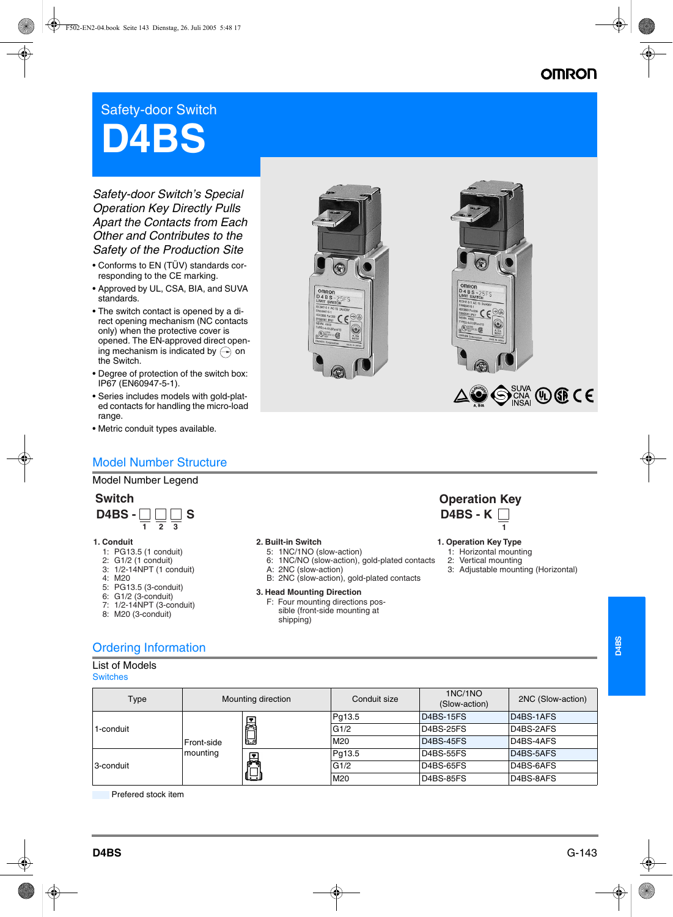## **OMRON**

# Safety-door Switch **D4BS**

*Safety-door Switch's Special Operation Key Directly Pulls Apart the Contacts from Each Other and Contributes to the Safety of the Production Site*

- Conforms to EN (TÜV) standards corresponding to the CE marking.
- Approved by UL, CSA, BIA, and SUVA standards.
- The switch contact is opened by a direct opening mechanism (NC contacts only) when the protective cover is opened. The EN-approved direct opening mechanism is indicated by  $\curvearrowright$  on the Switch.
- Degree of protection of the switch box: IP67 (EN60947-5-1).
- Series includes models with gold-plated contacts for handling the micro-load range.
- Metric conduit types available.

## Model Number Structure

### Model Number Legend



#### **1. Conduit**

- 1: PG13.5 (1 conduit)
- 2: G1/2 (1 conduit)
- 3: 1/2-14NPT (1 conduit)
- 4: M20
- 5: PG13.5 (3-conduit)
- 6: G1/2 (3-conduit)
- 7: 1/2-14NPT (3-conduit)
- 8: M20 (3-conduit)



- 5: 1NC/1NO (slow-action)
- 6: 1NC/NO (slow-action), gold-plated contacts
- A: 2NC (slow-action) B: 2NC (slow-action), gold-plated contacts
- 

## **3. Head Mounting Direction**

F: Four mounting directions possible (front-side mounting at shipping)



- **2. Built-in Switch 1. Operation Key Type**
	- 1: Horizontal mounting
	- 2: Vertical mounting
	- 3: Adjustable mounting (Horizontal)

 $\bigodot_{NSA}^{SUNA} QD$  (Dec CE

## Ordering Information

|  | Switche | ιs |
|--|---------|----|
|  |         |    |

| Type                   |                                                   | Mounting direction | Conduit size | 1NC/1NO<br>(Slow-action) | 2NC (Slow-action) |
|------------------------|---------------------------------------------------|--------------------|--------------|--------------------------|-------------------|
|                        | EON<br>Front-side<br>mounting<br><b>ER</b><br>لكا |                    | Pq13.5       | D4BS-15FS                | D4BS-1AFS         |
| 1-conduit<br>3-conduit |                                                   |                    | G1/2         | D4BS-25FS                | D4BS-2AFS         |
|                        |                                                   |                    | M20          | D4BS-45FS                | D4BS-4AFS         |
|                        |                                                   |                    | Pq13.5       | D4BS-55FS                | D4BS-5AFS         |
|                        |                                                   |                    | G1/2         | D4BS-65FS                | D4BS-6AFS         |
|                        |                                                   | M <sub>20</sub>    | D4BS-85FS    | D4BS-8AFS                |                   |

Prefered stock item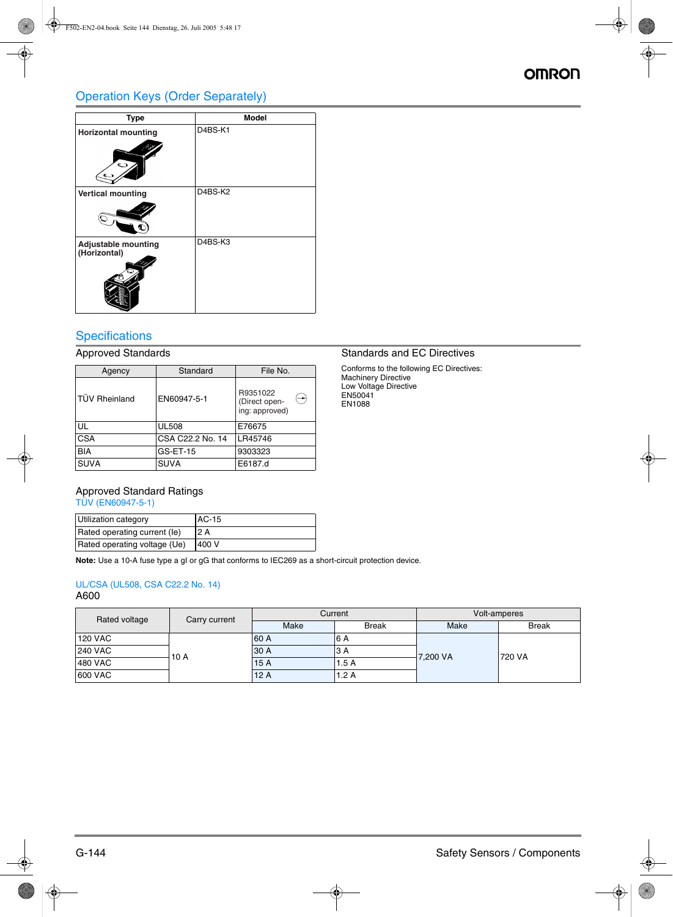## Operation Keys (Order Separately)

| <b>Type</b>                                | <b>Model</b> |
|--------------------------------------------|--------------|
| <b>Horizontal mounting</b><br>$\cup$       | D4BS-K1      |
| <b>Vertical mounting</b>                   | D4BS-K2      |
| <b>Adjustable mounting</b><br>(Horizontal) | D4BS-K3      |

## **Specifications**

| Agency               | Standard         | File No.                                                     |
|----------------------|------------------|--------------------------------------------------------------|
| <b>TUV Rheinland</b> | EN60947-5-1      | R9351022<br>$\rightarrow$<br>(Direct open-<br>ing: approved) |
| UL                   | <b>UL508</b>     | E76675                                                       |
| <b>CSA</b>           | CSA C22.2 No. 14 | LR45746                                                      |
| <b>BIA</b>           | GS-ET-15         | 9303323                                                      |
| <b>SUVA</b>          | <b>SUVA</b>      | E6187.d                                                      |

## Approved Standards **Standards** Standards and EC Directives

Conforms to the following EC Directives: Machinery Directive Low Voltage Directive EN50041 EN1088

## Approved Standard Ratings

TÜV (EN60947-5-1)

| Utilization category         | <b>AC-15</b> |
|------------------------------|--------------|
| Rated operating current (le) | 12A          |
| Rated operating voltage (Ue) | 400 V        |

**Note:** Use a 10-A fuse type a gI or gG that conforms to IEC269 as a short-circuit protection device.

### UL/CSA (UL508, CSA C22.2 No. 14) A600

| Rated voltage  | Carry current | Current |              | Volt-amperes |              |
|----------------|---------------|---------|--------------|--------------|--------------|
|                |               | Make    | <b>Break</b> | Make         | <b>Break</b> |
| <b>120 VAC</b> | 10 A          | 60 A    | 6 A          |              | 720 VA       |
| <b>240 VAC</b> |               | 30 A    | 3 A          |              |              |
| 480 VAC        |               | 15A     | 1.5A         | 7,200 VA     |              |
| 600 VAC        |               | 12A     | 1.2 A        |              |              |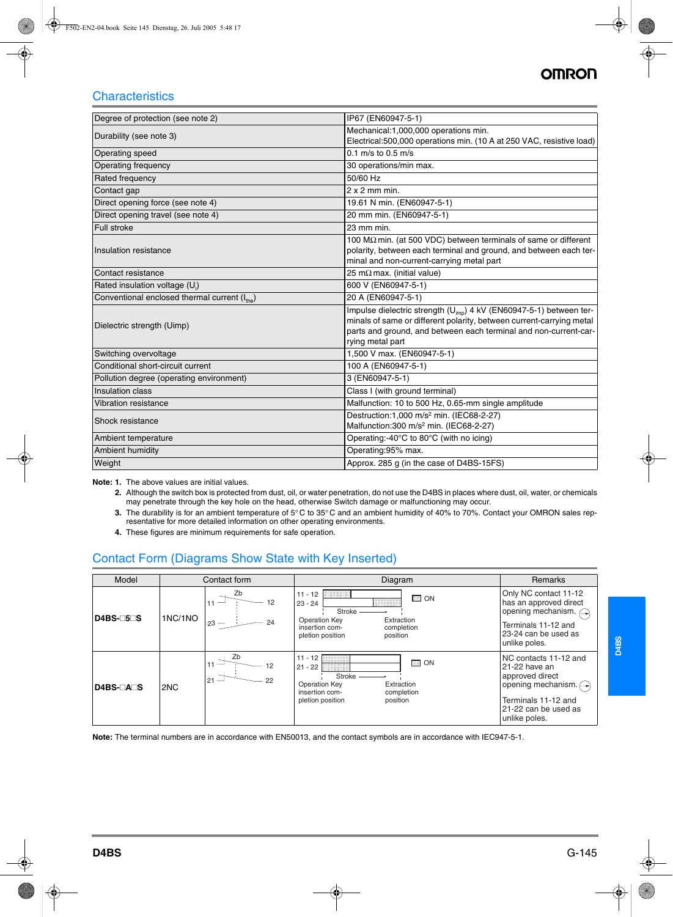## **AMDAI**

## **Characteristics**

| Degree of protection (see note 2)                         | IP67 (EN60947-5-1)                                                                                                                                                                                                                              |
|-----------------------------------------------------------|-------------------------------------------------------------------------------------------------------------------------------------------------------------------------------------------------------------------------------------------------|
| Durability (see note 3)                                   | Mechanical:1,000,000 operations min.<br>Electrical:500,000 operations min. (10 A at 250 VAC, resistive load)                                                                                                                                    |
| Operating speed                                           | 0.1 m/s to 0.5 m/s                                                                                                                                                                                                                              |
| Operating frequency                                       | 30 operations/min max.                                                                                                                                                                                                                          |
| Rated frequency                                           | 50/60 Hz                                                                                                                                                                                                                                        |
| Contact gap                                               | $2x2$ mm min.                                                                                                                                                                                                                                   |
| Direct opening force (see note 4)                         | 19.61 N min. (EN60947-5-1)                                                                                                                                                                                                                      |
| Direct opening travel (see note 4)                        | 20 mm min. (EN60947-5-1)                                                                                                                                                                                                                        |
| Full stroke                                               | 23 mm min.                                                                                                                                                                                                                                      |
| Insulation resistance                                     | 100 MΩ min. (at 500 VDC) between terminals of same or different<br>polarity, between each terminal and ground, and between each ter-<br>minal and non-current-carrying metal part                                                               |
| Contact resistance                                        | 25 m $\Omega$ max. (initial value)                                                                                                                                                                                                              |
| Rated insulation voltage (U <sub>i</sub> )                | 600 V (EN60947-5-1)                                                                                                                                                                                                                             |
| Conventional enclosed thermal current (I <sub>the</sub> ) | 20 A (EN60947-5-1)                                                                                                                                                                                                                              |
| Dielectric strength (Uimp)                                | Impulse dielectric strength (U <sub>imp</sub> ) 4 kV (EN60947-5-1) between ter-<br>minals of same or different polarity, between current-carrying metal<br>parts and ground, and between each terminal and non-current-car-<br>rying metal part |
| Switching overvoltage                                     | 1,500 V max. (EN60947-5-1)                                                                                                                                                                                                                      |
| Conditional short-circuit current                         | 100 A (EN60947-5-1)                                                                                                                                                                                                                             |
| Pollution degree (operating environment)                  | 3 (EN60947-5-1)                                                                                                                                                                                                                                 |
| Insulation class                                          | Class I (with ground terminal)                                                                                                                                                                                                                  |
| Vibration resistance                                      | Malfunction: 10 to 500 Hz, 0.65-mm single amplitude                                                                                                                                                                                             |
| Shock resistance                                          | Destruction:1,000 m/s <sup>2</sup> min. (IEC68-2-27)<br>Malfunction:300 m/s <sup>2</sup> min. (IEC68-2-27)                                                                                                                                      |
| Ambient temperature                                       | Operating:-40°C to 80°C (with no icing)                                                                                                                                                                                                         |
| Ambient humidity                                          | Operating:95% max.                                                                                                                                                                                                                              |
| Weight                                                    | Approx. 285 g (in the case of D4BS-15FS)                                                                                                                                                                                                        |

**Note: 1.** The above values are initial values.

- **2.** Although the switch box is protected from dust, oil, or water penetration, do not use the D4BS in places where dust, oil, water, or chemicals may penetrate through the key hole on the head, otherwise Switch damage or malfunctioning may occur.
- **3.** The durability is for an ambient temperature of 5° C to 35° C and an ambient humidity of 40% to 70%. Contact your OMRON sales representative for more detailed information on other operating environments.
- **4.** These figures are minimum requirements for safe operation.

## Contact Form (Diagrams Show State with Key Inserted)

| Model     |         | Contact form             | Diagram                                                                                                                                             | Remarks                                                                                                                                             |
|-----------|---------|--------------------------|-----------------------------------------------------------------------------------------------------------------------------------------------------|-----------------------------------------------------------------------------------------------------------------------------------------------------|
| $D4BS-5S$ | 1NC/1NO | Zb<br>12<br>24<br>$23 -$ | $11 - 12$<br>$\Box$ ON<br>$23 - 24$<br><b>Stroke</b><br>Operation Key<br>Extraction<br>insertion com-<br>completion<br>pletion position<br>position | Only NC contact 11-12<br>has an approved direct<br>opening mechanism. $\bigcirc$<br>Terminals 11-12 and<br>23-24 can be used as<br>unlike poles.    |
| D4BS-OAOS | 2NC     | Zb<br>12<br>21<br>22     | $11 - 12$<br>$\Box$ ON<br>$21 - 22$<br>Stroke<br><b>Operation Key</b><br>Extraction<br>insertion com-<br>completion<br>pletion position<br>position | NC contacts 11-12 and<br>21-22 have an<br>approved direct<br>opening mechanism. (-)<br>Terminals 11-12 and<br>21-22 can be used as<br>unlike poles. |

**Note:** The terminal numbers are in accordance with EN50013, and the contact symbols are in accordance with IEC947-5-1.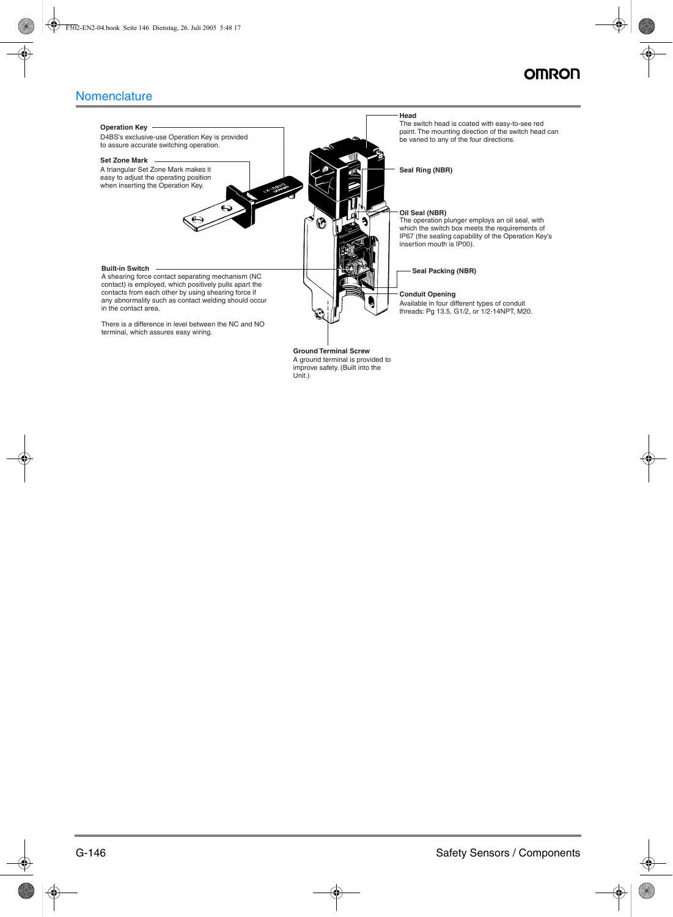## OMROI

## **Nomenclature**

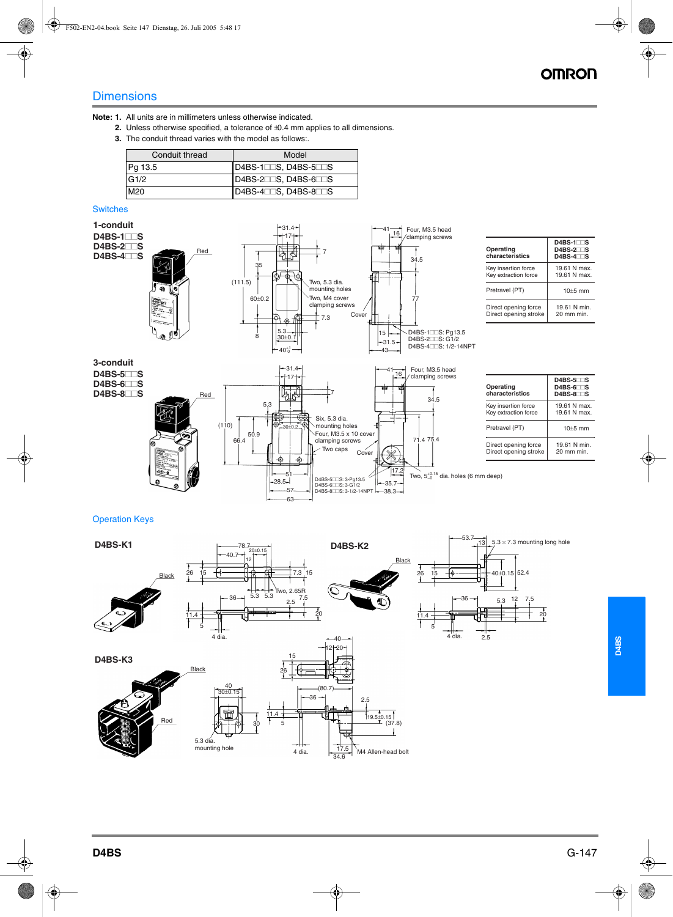## **Dimensions**

**Note: 1.** All units are in millimeters unless otherwise indicated.

- **2.** Unless otherwise specified, a tolerance of  $\pm$ 0.4 mm applies to all dimensions.
- **3.** The conduit thread varies with the model as follows:.

| Conduit thread | Model                |
|----------------|----------------------|
| Pg 13.5        | D4BS-1CCS, D4BS-5CCS |
| G1/2           | $D4BS-27S, D4BS-67S$ |
| M20            | $D4BS-47S, D4BS-87S$ |

### **Switches**



| Operating<br>characteristics                  | $D4BS-1$ <sub>S</sub><br>$D4BS-2T$<br>$D4BS-4T$ |
|-----------------------------------------------|-------------------------------------------------|
| Key insertion force<br>Key extraction force   | 19.61 N max.<br>19.61 N max.                    |
| Pretravel (PT)                                | $10+5$ mm                                       |
| Direct opening force<br>Direct opening stroke | 19.61 N min.<br>20 mm min.                      |

| Operating<br>characteristics                  | $D4BS-5$<br>$D4BS-6$<br>$D4BS-8$     |
|-----------------------------------------------|--------------------------------------|
| Key insertion force<br>Key extraction force   | 19.61 N max.<br>19.61 N max.         |
| Pretravel (PT)                                | $10+5$ mm                            |
| Direct opening force<br>Direct opening stroke | 19.61 N min.<br>$20 \text{ mm}$ min. |

#### Operation Keys

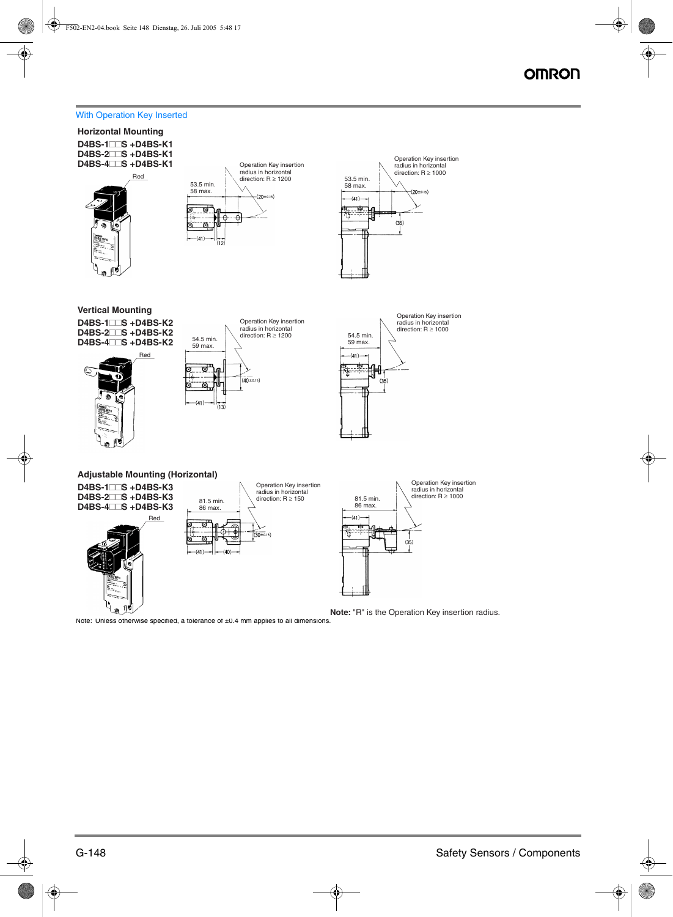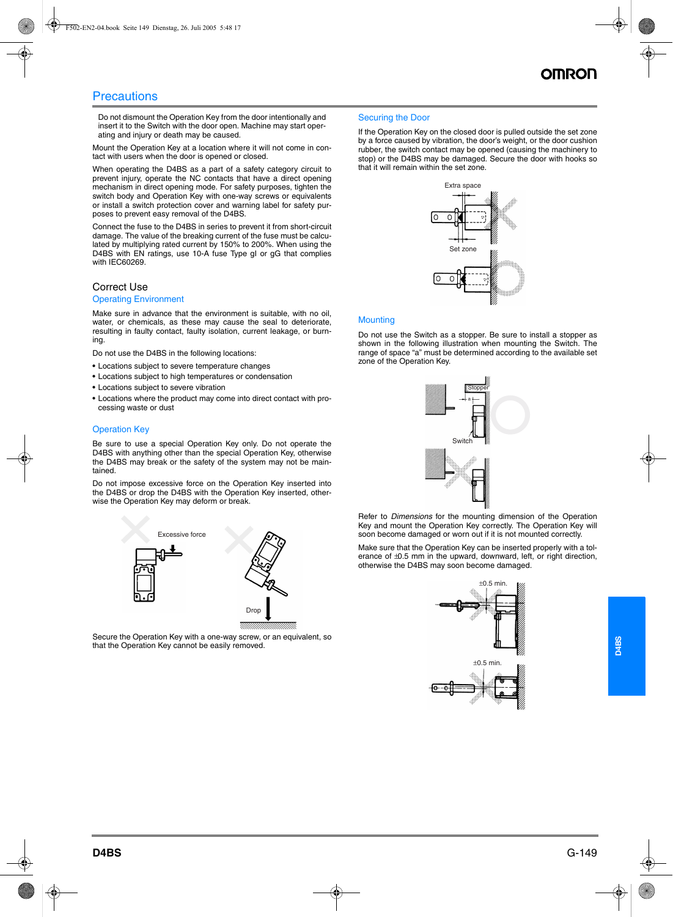### **Precautions**

Do not dismount the Operation Key from the door intentionally and insert it to the Switch with the door open. Machine may start operating and injury or death may be caused.

Mount the Operation Key at a location where it will not come in contact with users when the door is opened or closed.

When operating the D4BS as a part of a safety category circuit to prevent injury, operate the NC contacts that have a direct opening mechanism in direct opening mode. For safety purposes, tighten the switch body and Operation Key with one-way screws or equivalents or install a switch protection cover and warning label for safety purposes to prevent easy removal of the D4BS.

Connect the fuse to the D4BS in series to prevent it from short-circuit damage. The value of the breaking current of the fuse must be calculated by multiplying rated current by 150% to 200%. When using the D4BS with EN ratings, use 10-A fuse Type gI or gG that complies with IEC60269.

#### Correct Use

#### Operating Environment

Make sure in advance that the environment is suitable, with no oil, water, or chemicals, as these may cause the seal to deteriorate, resulting in faulty contact, faulty isolation, current leakage, or burning.

Do not use the D4BS in the following locations:

- **•** Locations subject to severe temperature changes
- **•** Locations subject to high temperatures or condensation
- **•** Locations subject to severe vibration
- **•** Locations where the product may come into direct contact with processing waste or dust

#### Operation Key

Be sure to use a special Operation Key only. Do not operate the D4BS with anything other than the special Operation Key, otherwise the D4BS may break or the safety of the system may not be maintained.

Do not impose excessive force on the Operation Key inserted into the D4BS or drop the D4BS with the Operation Key inserted, otherwise the Operation Key may deform or break.



Secure the Operation Key with a one-way screw, or an equivalent, so that the Operation Key cannot be easily removed.

#### Securing the Door

If the Operation Key on the closed door is pulled outside the set zone by a force caused by vibration, the door's weight, or the door cushion rubber, the switch contact may be opened (causing the machinery to stop) or the D4BS may be damaged. Secure the door with hooks so that it will remain within the set zone.



#### Mounting

Do not use the Switch as a stopper. Be sure to install a stopper as shown in the following illustration when mounting the Switch. The range of space "a" must be determined according to the available set zone of the Operation Key.



Refer to *Dimensions* for the mounting dimension of the Operation Key and mount the Operation Key correctly. The Operation Key will soon become damaged or worn out if it is not mounted correctly.

Make sure that the Operation Key can be inserted properly with a tolerance of  $\pm$ 0.5 mm in the upward, downward, left, or right direction, otherwise the D4BS may soon become damaged.

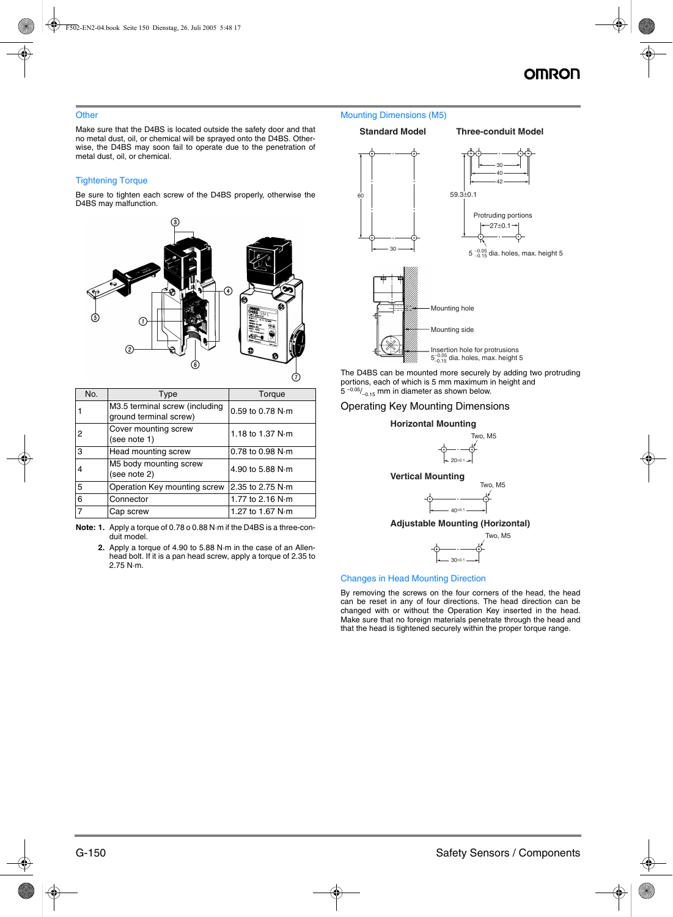#### **Other**

Make sure that the D4BS is located outside the safety door and that no metal dust, oil, or chemical will be sprayed onto the D4BS. Otherwise, the D4BS may soon fail to operate due to the penetration of metal dust, oil, or chemical.

#### Tightening Torque

Be sure to tighten each screw of the D4BS properly, otherwise the D4BS may malfunction.



| No. | Type                                                     | Torque                       |
|-----|----------------------------------------------------------|------------------------------|
|     | M3.5 terminal screw (including<br>ground terminal screw) | 0.59 to 0.78 N·m             |
| 2   | Cover mounting screw<br>(see note 1)                     | 1.18 to 1.37 N·m             |
| 3   | Head mounting screw                                      | $0.78$ to $0.98$ N $\cdot$ m |
| 4   | M5 body mounting screw<br>(see note 2)                   | 4.90 to 5.88 N·m             |
| 5   | Operation Key mounting screw                             | 2.35 to 2.75 N·m             |
| 6   | Connector                                                | 1.77 to 2.16 $N \cdot m$     |
|     | Cap screw                                                | 1.27 to 1.67 N·m             |

**Note: 1.** Apply a torque of 0.78 o 0.88 N·m if the D4BS is a three-conduit model.

**2.** Apply a torque of 4.90 to 5.88 N·m in the case of an Allenhead bolt. If it is a pan head screw, apply a torque of 2.35 to 2.75 N·m.

#### Mounting Dimensions (M5)

#### **Standard Model Three-conduit Model**



The D4BS can be mounted more securely by adding two protruding portions, each of which is 5 mm maximum in height and  $5 -0.05/$ <sub>-0.15</sub> mm in diameter as shown below.

#### Operating Key Mounting Dimensions



#### Changes in Head Mounting Direction

By removing the screws on the four corners of the head, the head can be reset in any of four directions. The head direction can be changed with or without the Operation Key inserted in the head. Make sure that no foreign materials penetrate through the head and that the head is tightened securely within the proper torque range.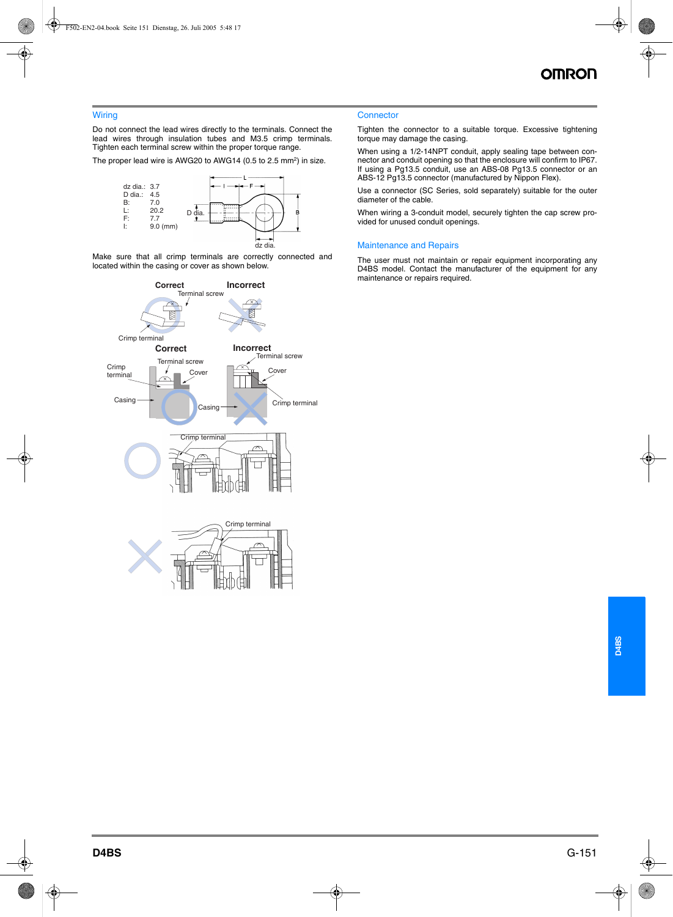#### **Wiring**

Do not connect the lead wires directly to the terminals. Connect the lead wires through insulation tubes and M3.5 crimp terminals. Tighten each terminal screw within the proper torque range.

The proper lead wire is AWG20 to AWG14 (0.5 to 2.5 mm<sup>2</sup>) in size.



Make sure that all crimp terminals are correctly connected and located within the casing or cover as shown below.



#### **Connector**

Tighten the connector to a suitable torque. Excessive tightening torque may damage the casing.

When using a 1/2-14NPT conduit, apply sealing tape between connector and conduit opening so that the enclosure will confirm to IP67. If using a Pg13.5 conduit, use an ABS-08 Pg13.5 connector or an ABS-12 Pg13.5 connector (manufactured by Nippon Flex).

Use a connector (SC Series, sold separately) suitable for the outer diameter of the cable.

When wiring a 3-conduit model, securely tighten the cap screw provided for unused conduit openings.

#### Maintenance and Repairs

The user must not maintain or repair equipment incorporating any D4BS model. Contact the manufacturer of the equipment for any maintenance or repairs required.